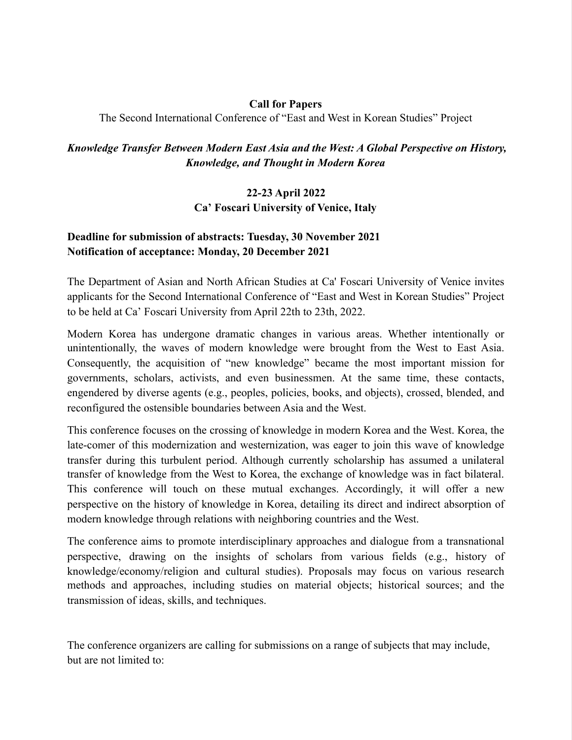### Call for Papers

The Second International Conference of "East and West in Korean Studies" Project

### *Knowledge Transfer Between Modern East Asia and the West: A Global Perspective on History, Knowledge, and Thought in Modern Korea*

# 22-23 April 2022 Ca' Foscari University of Venice, Italy

## Deadline for submission of abstracts: Tuesday, 30 November 2021 Notification of acceptance: Monday, 20 December 2021

The Department of Asian and North African Studies at Ca' Foscari University of Venice invites applicants for the Second International Conference of "East and West in Korean Studies" Project to be held at Ca' Foscari University from April 22th to 23th, 2022.

Modern Korea has undergone dramatic changes in various areas. Whether intentionally or unintentionally, the waves of modern knowledge were brought from the West to East Asia. Consequently, the acquisition of "new knowledge" became the most important mission for governments, scholars, activists, and even businessmen. At the same time, these contacts, engendered by diverse agents (e.g., peoples, policies, books, and objects), crossed, blended, and reconfigured the ostensible boundaries between Asia and the West.

This conference focuses on the crossing of knowledge in modern Korea and the West. Korea, the late-comer of this modernization and westernization, was eager to join this wave of knowledge transfer during this turbulent period. Although currently scholarship has assumed a unilateral transfer of knowledge from the West to Korea, the exchange of knowledge was in fact bilateral. This conference will touch on these mutual exchanges. Accordingly, it will offer a new perspective on the history of knowledge in Korea, detailing its direct and indirect absorption of modern knowledge through relations with neighboring countries and the West.

The conference aims to promote interdisciplinary approaches and dialogue from a transnational perspective, drawing on the insights of scholars from various fields (e.g., history of knowledge/economy/religion and cultural studies). Proposals may focus on various research methods and approaches, including studies on material objects; historical sources; and the transmission of ideas, skills, and techniques.

The conference organizers are calling for submissions on a range of subjects that may include, but are not limited to: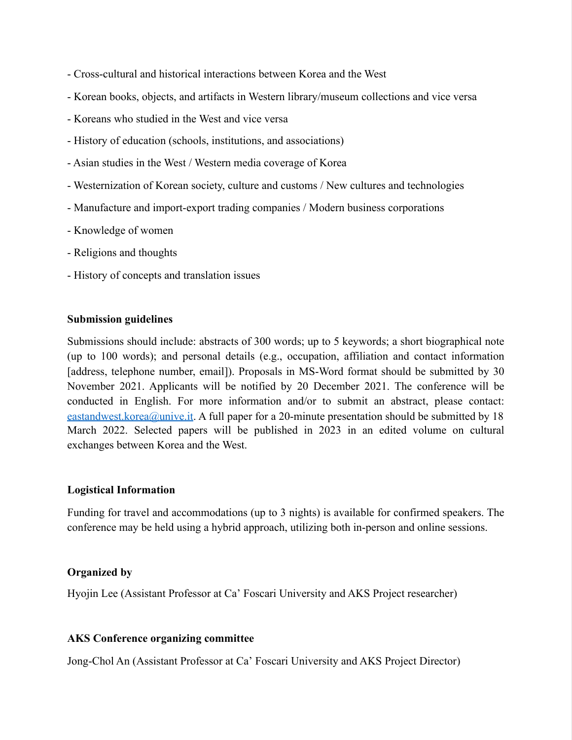- Cross-cultural and historical interactions between Korea and the West
- Korean books, objects, and artifacts in Western library/museum collections and vice versa
- Koreans who studied in the West and vice versa
- History of education (schools, institutions, and associations)
- Asian studies in the West / Western media coverage of Korea
- Westernization of Korean society, culture and customs / New cultures and technologies
- Manufacture and import-export trading companies / Modern business corporations
- Knowledge of women
- Religions and thoughts
- History of concepts and translation issues

#### Submission guidelines

Submissions should include: abstracts of 300 words; up to 5 keywords; a short biographical note (up to 100 words); and personal details (e.g., occupation, affiliation and contact information [address, telephone number, email]). Proposals in MS-Word format should be submitted by 30 November 2021. Applicants will be notified by 20 December 2021. The conference will be conducted in English. For more information and/or to submit an abstract, please contact: eastandwest.korea@unive.it. A full paper for a 20-minute presentation should be submitted by 18 March 2022. Selected papers will be published in 2023 in an edited volume on cultural exchanges between Korea and the West.

#### Logistical Information

Funding for travel and accommodations (up to 3 nights) is available for confirmed speakers. The conference may be held using a hybrid approach, utilizing both in-person and online sessions.

#### Organized by

Hyojin Lee (Assistant Professor at Ca' Foscari University and AKS Project researcher)

### AKS Conference organizing committee

Jong-Chol An (Assistant Professor at Ca' Foscari University and AKS Project Director)